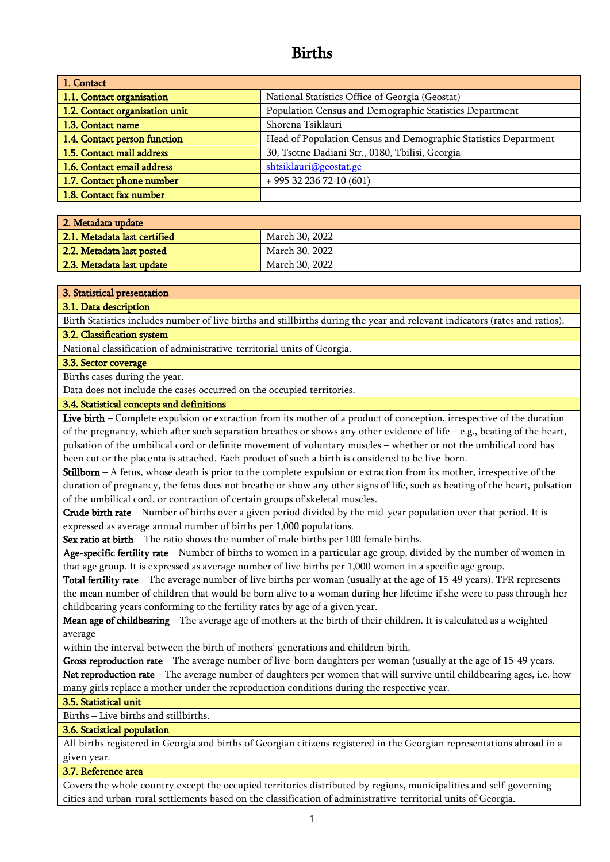# Births

| 1. Contact                     |                                                                 |
|--------------------------------|-----------------------------------------------------------------|
| 1.1. Contact organisation      | National Statistics Office of Georgia (Geostat)                 |
| 1.2. Contact organisation unit | Population Census and Demographic Statistics Department         |
| 1.3. Contact name              | Shorena Tsiklauri                                               |
| 1.4. Contact person function   | Head of Population Census and Demographic Statistics Department |
| 1.5. Contact mail address      | 30, Tsotne Dadiani Str., 0180, Tbilisi, Georgia                 |
| 1.6. Contact email address     | shtsiklauri@geostat.ge                                          |
| 1.7. Contact phone number      | $+995322367210(601)$                                            |
| 1.8. Contact fax number        |                                                                 |

| 2. Metadata update           |                |
|------------------------------|----------------|
| 2.1. Metadata last certified | March 30, 2022 |
| 2.2. Metadata last posted    | March 30, 2022 |
| 2.3. Metadata last update    | March 30, 2022 |

## 3. Statistical presentation

## 3.1. Data description

Birth Statistics includes number of live births and stillbirths during the year and relevant indicators (rates and ratios). 3.2. Classification system

National classification of administrative-territorial units of Georgia.

# 3.3. Sector coverage

Births cases during the year.

Data does not include the cases occurred on the occupied territories.

## 3.4. Statistical concepts and definitions

Live birth – Complete expulsion or extraction from its mother of a product of conception, irrespective of the duration of the pregnancy, which after such separation breathes or shows any other evidence of life – e.g., beating of the heart, pulsation of the umbilical cord or definite movement of voluntary muscles – whether or not the umbilical cord has been cut or the placenta is attached. Each product of such a birth is considered to be live-born.

**Stillborn** – A fetus, whose death is prior to the complete expulsion or extraction from its mother, irrespective of the duration of pregnancy, the fetus does not breathe or show any other signs of life, such as beating of the heart, pulsation of the umbilical cord, or contraction of certain groups of skeletal muscles.

Crude birth rate – Number of births over a given period divided by the mid-year population over that period. It is expressed as average annual number of births per 1,000 populations.

Sex ratio at birth – The ratio shows the number of male births per 100 female births.

Age-specific fertility rate – Number of births to women in a particular age group, divided by the number of women in that age group. It is expressed as average number of live births per 1,000 women in a specific age group.

Total fertility rate – The average number of live births per woman (usually at the age of 15-49 years). TFR represents the mean number of children that would be born alive to a woman during her lifetime if she were to pass through her childbearing years conforming to the fertility rates by age of a given year.

Mean age of childbearing – The average age of mothers at the birth of their children. It is calculated as a weighted average

within the interval between the birth of mothers' generations and children birth.

Gross reproduction rate – The average number of live-born daughters per woman (usually at the age of 15-49 years. Net reproduction rate – The average number of daughters per women that will survive until childbearing ages, i.e. how many girls replace a mother under the reproduction conditions during the respective year.

# 3.5. Statistical unit

Births – Live births and stillbirths.

# 3.6. Statistical population

All births registered in Georgia and births of Georgian citizens registered in the Georgian representations abroad in a given year.

# 3.7. Reference area

Covers the whole country except the occupied territories distributed by regions, municipalities and self-governing cities and urban-rural settlements based on the classification of administrative-territorial units of Georgia.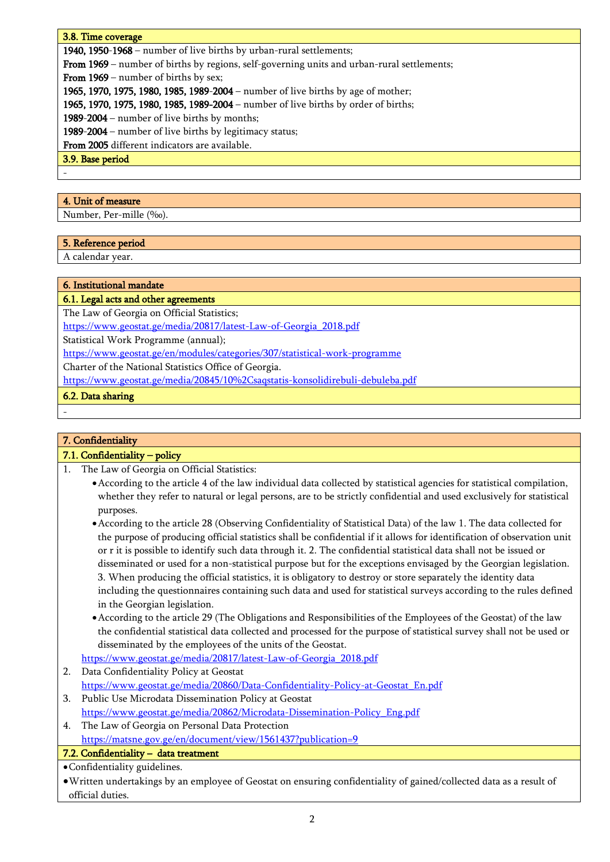# 3.8. Time coverage

1940, 1950-1968 – number of live births by urban-rural settlements;

From 1969 – number of births by regions, self-governing units and urban-rural settlements;

From 1969 – number of births by sex;

1965, 1970, 1975, 1980, 1985, 1989-2004 – number of live births by age of mother;

1965, 1970, 1975, 1980, 1985, 1989-2004 – number of live births by order of births;

1989-2004 – number of live births by months;

1989-2004 – number of live births by legitimacy status;

From 2005 different indicators are available.

3.9. Base period

-

-

## 4. Unit of measure

Number, Per-mille (‰).

# 5. Reference period

A calendar year.

# 6. Institutional mandate

6.1. Legal acts and other agreements

The Law of Georgia on Official Statistics;

[https://www.geostat.ge/media/20817/latest-Law-of-Georgia\\_2018.pdf](https://www.geostat.ge/media/20817/latest-Law-of-Georgia_2018.pdf)

Statistical Work Programme (annual);

<https://www.geostat.ge/en/modules/categories/307/statistical-work-programme>

Charter of the National Statistics Office of Georgia.

https://www.geostat.ge/media/20845/10%2Csaqstatis-konsolidirebuli-debuleba.pdf

6.2. Data sharing

-

# 7. Confidentiality

# 7.1. Confidentiality – policy

- 1. The Law of Georgia on Official Statistics:
	- •According to the article 4 of the law individual data collected by statistical agencies for statistical compilation, whether they refer to natural or legal persons, are to be strictly confidential and used exclusively for statistical purposes.
	- •According to the article 28 (Observing Confidentiality of Statistical Data) of the law 1. The data collected for the purpose of producing official statistics shall be confidential if it allows for identification of observation unit or r it is possible to identify such data through it. 2. The confidential statistical data shall not be issued or disseminated or used for a non-statistical purpose but for the exceptions envisaged by the Georgian legislation. 3. When producing the official statistics, it is obligatory to destroy or store separately the identity data including the questionnaires containing such data and used for statistical surveys according to the rules defined in the Georgian legislation.
	- •According to the article 29 (The Obligations and Responsibilities of the Employees of the Geostat) of the law the confidential statistical data collected and processed for the purpose of statistical survey shall not be used or disseminated by the employees of the units of the Geostat.

[https://www.geostat.ge/media/20817/latest-Law-of-Georgia\\_2018.pdf](https://www.geostat.ge/media/20817/latest-Law-of-Georgia_2018.pdf)

- 2. Data Confidentiality Policy at Geostat [https://www.geostat.ge/media/20860/Data-Confidentiality-Policy-at-Geostat\\_En.pdf](https://www.geostat.ge/media/20860/Data-Confidentiality-Policy-at-Geostat_En.pdf)
- 3. Public Use Microdata Dissemination Policy at Geostat [https://www.geostat.ge/media/20862/Microdata-Dissemination-Policy\\_Eng.pdf](https://www.geostat.ge/media/20862/Microdata-Dissemination-Policy_Eng.pdf)
- 4. The Law of Georgia on Personal Data Protection https://matsne.gov.ge/en/document/view/1561437?publication=9
- 7.2. Confidentiality data treatment

•Confidentiality guidelines.

•Written undertakings by an employee of Geostat on ensuring confidentiality of gained/collected data as a result of official duties.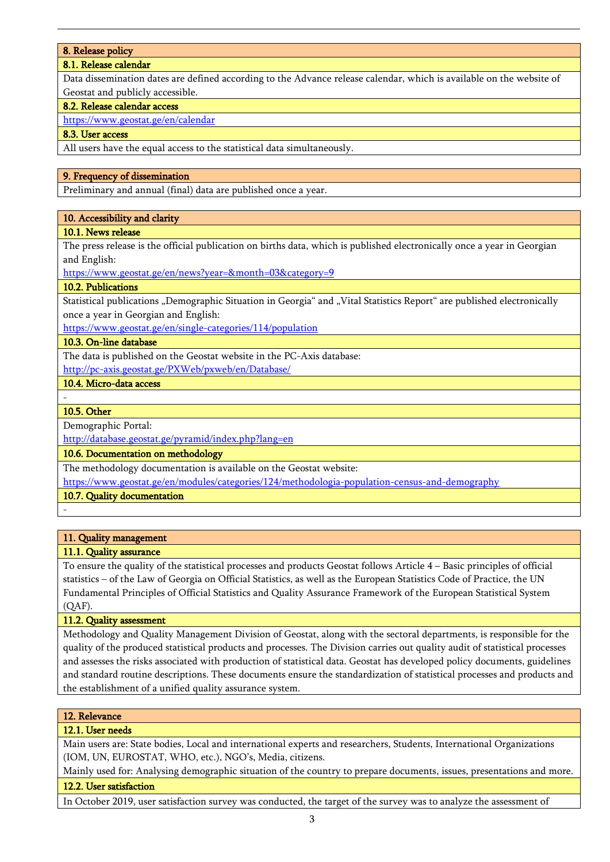## 8. Release policy

## 8.1. Release calendar

Data dissemination dates are defined according to the Advance release calendar, which is available on the website of Geostat and publicly accessible.

## 8.2. Release calendar access

<https://www.geostat.ge/en/calendar>

## 8.3. User access

All users have the equal access to the statistical data simultaneously.

## 9. Frequency of dissemination

Preliminary and annual (final) data are published once a year.

## 10. Accessibility and clarity

## 10.1. News release

The press release is the official publication on births data, which is published electronically once a year in Georgian and English:

<https://www.geostat.ge/en/news?year=&month=03&category=9>

## 10.2. Publications

Statistical publications "Demographic Situation in Georgia" and "Vital Statistics Report" are published electronically once a year in Georgian and English:

<https://www.geostat.ge/en/single-categories/114/population>

# 10.3. On-line database

The data is published on the Geostat website in the PC-Axis database: <http://pc-axis.geostat.ge/PXWeb/pxweb/en/Database/>

# 10.4. Micro-data access

#### - 10.5. Other

-

Demographic Portal:

http://database.geostat.ge/pyramid/index.php?lang=en

10.6. Documentation on methodology

The methodology documentation is available on the Geostat website:

<https://www.geostat.ge/en/modules/categories/124/methodologia-population-census-and-demography>

10.7. Quality documentation

# 11. Quality management

# 11.1. Quality assurance

To ensure the quality of the statistical processes and products Geostat follows Article 4 – Basic principles of official statistics – of the Law of Georgia on Official Statistics, as well as the European Statistics Code of Practice, the UN Fundamental Principles of Official Statistics and Quality Assurance Framework of the European Statistical System (QAF).

## 11.2. Quality assessment

Methodology and Quality Management Division of Geostat, along with the sectoral departments, is responsible for the quality of the produced statistical products and processes. The Division carries out quality audit of statistical processes and assesses the risks associated with production of statistical data. Geostat has developed policy documents, guidelines and standard routine descriptions. These documents ensure the standardization of statistical processes and products and the establishment of a unified quality assurance system.

## 12. Relevance

## 12.1. User needs

Main users are: State bodies, Local and international experts and researchers, Students, International Organizations (IOM, UN, EUROSTAT, WHO, etc.), NGO's, Media, citizens.

Mainly used for: Analysing demographic situation of the country to prepare documents, issues, presentations and more. 12.2. User satisfaction

In October 2019, user satisfaction survey was conducted, the target of the survey was to analyze the assessment of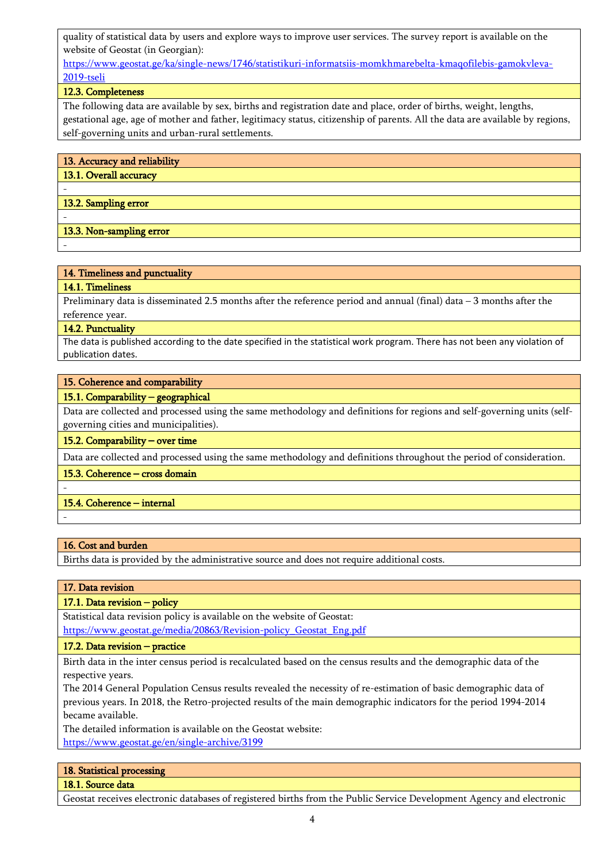quality of statistical data by users and explore ways to improve user services. The survey report is available on the website of Geostat (in Georgian):

[https://www.geostat.ge/ka/single-news/1746/statistikuri-informatsiis-momkhmarebelta-kmaqofilebis-gamokvleva-](https://www.geostat.ge/ka/single-news/1746/statistikuri-informatsiis-momkhmarebelta-kmaqofilebis-gamokvleva-2019-tseli)[2019-tseli](https://www.geostat.ge/ka/single-news/1746/statistikuri-informatsiis-momkhmarebelta-kmaqofilebis-gamokvleva-2019-tseli)

# 12.3. Completeness

The following data are available by sex, births and registration date and place, order of births, weight, lengths, gestational age, age of mother and father, legitimacy status, citizenship of parents. All the data are available by regions, self-governing units and urban-rural settlements.

| 13. Accuracy and reliability |
|------------------------------|
| 13.1. Overall accuracy       |
|                              |
| 13.2. Sampling error         |
|                              |
| 13.3. Non-sampling error     |

# -

14. Timeliness and punctuality

# 14.1. Timeliness

Preliminary data is disseminated 2.5 months after the reference period and annual (final) data – 3 months after the reference year.

## 14.2. Punctuality

The data is published according to the date specified in the statistical work program. There has not been any violation of publication dates.

## 15. Coherence and comparability

## 15.1. Comparability – geographical

Data are collected and processed using the same methodology and definitions for regions and self-governing units (selfgoverning cities and municipalities).

15.2. Comparability – over time

Data are collected and processed using the same methodology and definitions throughout the period of consideration.

## 15.3. Coherence – cross domain

# 15.4. Coherence – internal

-

-

# 16. Cost and burden

Births data is provided by the administrative source and does not require additional costs.

# 17. Data revision

# 17.1. Data revision – policy

Statistical data revision policy is available on the website of Geostat:

[https://www.geostat.ge/media/20863/Revision-policy\\_Geostat\\_Eng.pdf](https://www.geostat.ge/media/20863/Revision-policy_Geostat_Eng.pdf)

17.2. Data revision – practice

Birth data in the inter census period is recalculated based on the census results and the demographic data of the respective years.

The 2014 General Population Census results revealed the necessity of re-estimation of basic demographic data of previous years. In 2018, the Retro-projected results of the main demographic indicators for the period 1994-2014 became available.

The detailed information is available on the Geostat website:

<https://www.geostat.ge/en/single-archive/3199>

# 18. Statistical processing

18.1. Source data

Geostat receives electronic databases of registered births from the Public Service Development Agency and electronic